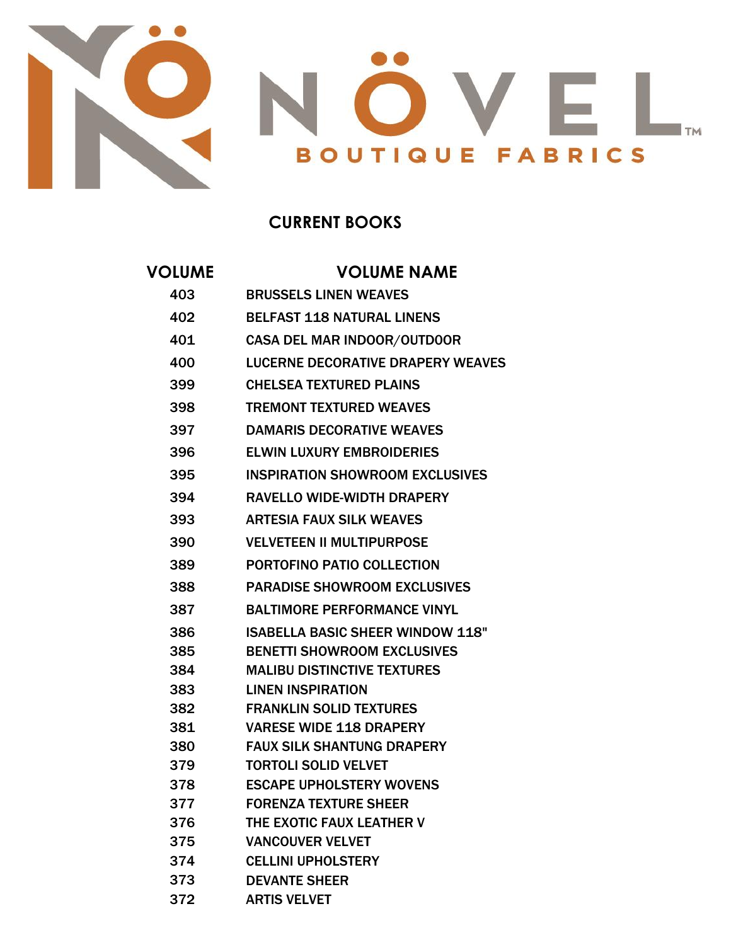

## **CURRENT BOOKS**

## **VOLUME VOLUME NAME**

| 403 | <b>BRUSSELS LINEN WEAVES</b>             |
|-----|------------------------------------------|
| 402 | <b>BELFAST 118 NATURAL LINENS</b>        |
| 401 | <b>CASA DEL MAR INDOOR/OUTDOOR</b>       |
| 400 | <b>LUCERNE DECORATIVE DRAPERY WEAVES</b> |
| 399 | <b>CHELSEA TEXTURED PLAINS</b>           |
| 398 | <b>TREMONT TEXTURED WEAVES</b>           |
| 397 | <b>DAMARIS DECORATIVE WEAVES</b>         |
| 396 | <b>ELWIN LUXURY EMBROIDERIES</b>         |
| 395 | <b>INSPIRATION SHOWROOM EXCLUSIVES</b>   |
| 394 | <b>RAVELLO WIDE-WIDTH DRAPERY</b>        |
|     |                                          |
| 393 | <b>ARTESIA FAUX SILK WEAVES</b>          |
| 390 | <b>VELVETEEN II MULTIPURPOSE</b>         |
| 389 | PORTOFINO PATIO COLLECTION               |
| 388 | <b>PARADISE SHOWROOM EXCLUSIVES</b>      |
| 387 | <b>BALTIMORE PERFORMANCE VINYL</b>       |
| 386 | <b>ISABELLA BASIC SHEER WINDOW 118"</b>  |
| 385 | <b>BENETTI SHOWROOM EXCLUSIVES</b>       |
| 384 | <b>MALIBU DISTINCTIVE TEXTURES</b>       |
| 383 | <b>LINEN INSPIRATION</b>                 |
| 382 | <b>FRANKLIN SOLID TEXTURES</b>           |
| 381 | <b>VARESE WIDE 118 DRAPERY</b>           |
| 380 | <b>FAUX SILK SHANTUNG DRAPERY</b>        |
| 379 | <b>TORTOLI SOLID VELVET</b>              |
| 378 | <b>ESCAPE UPHOLSTERY WOVENS</b>          |
| 377 | <b>FORENZA TEXTURE SHEER</b>             |
| 376 | THE EXOTIC FAUX LEATHER V                |
| 375 | <b>VANCOUVER VELVET</b>                  |
| 374 | <b>CELLINI UPHOLSTERY</b>                |
| 373 | <b>DEVANTE SHEER</b>                     |
| 372 | <b>ARTIS VELVET</b>                      |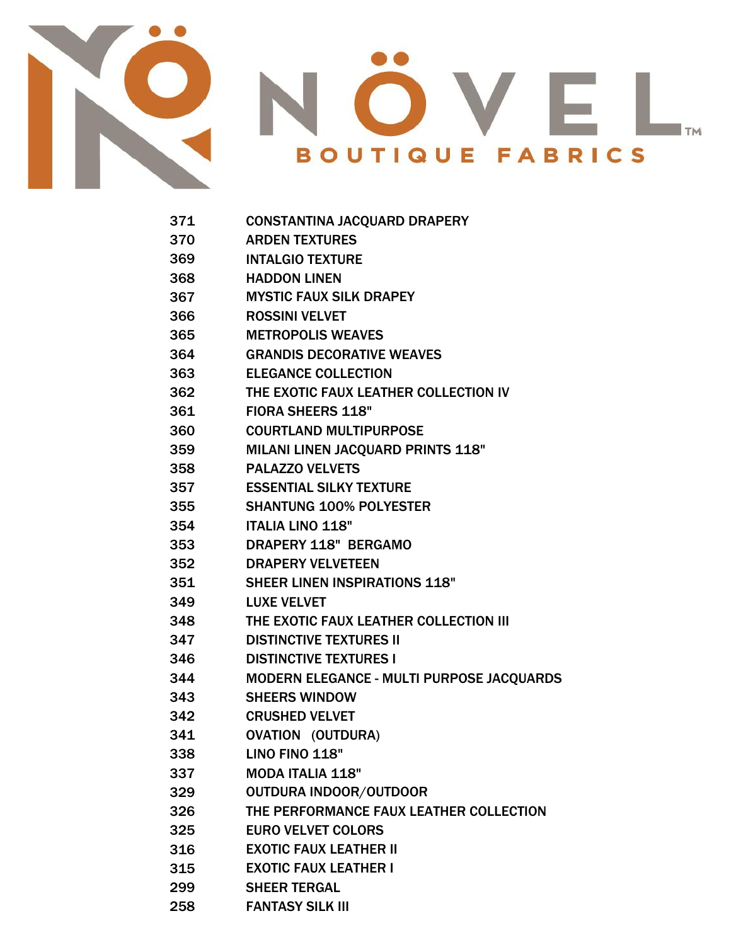



- CONSTANTINA JACQUARD DRAPERY
- ARDEN TEXTURES
- INTALGIO TEXTURE
- HADDON LINEN
- MYSTIC FAUX SILK DRAPEY
- ROSSINI VELVET
- METROPOLIS WEAVES
- GRANDIS DECORATIVE WEAVES
- ELEGANCE COLLECTION
- THE EXOTIC FAUX LEATHER COLLECTION IV
- FIORA SHEERS 118"
- COURTLAND MULTIPURPOSE
- MILANI LINEN JACQUARD PRINTS 118"
- PALAZZO VELVETS
- ESSENTIAL SILKY TEXTURE
- SHANTUNG 100% POLYESTER
- ITALIA LINO 118"
- DRAPERY 118" BERGAMO
- DRAPERY VELVETEEN
- SHEER LINEN INSPIRATIONS 118"
- LUXE VELVET
- THE EXOTIC FAUX LEATHER COLLECTION III
- DISTINCTIVE TEXTURES II
- DISTINCTIVE TEXTURES I
- MODERN ELEGANCE MULTI PURPOSE JACQUARDS
- SHEERS WINDOW
- CRUSHED VELVET
- OVATION (OUTDURA)
- LINO FINO 118"
- MODA ITALIA 118"
- OUTDURA INDOOR/OUTDOOR
- THE PERFORMANCE FAUX LEATHER COLLECTION
- 
- EURO VELVET COLORS
- EXOTIC FAUX LEATHER II
- EXOTIC FAUX LEATHER I
- 
- SHEER TERGAL
- FANTASY SILK III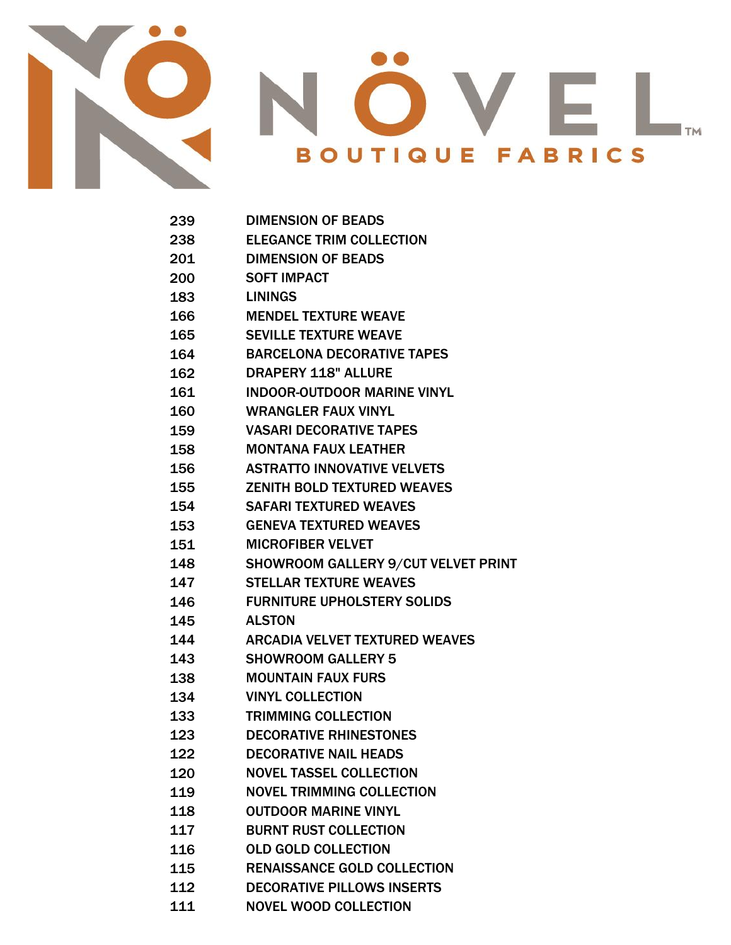

## $\bigcap$  $\mathsf{T}$ <sub>TM</sub> **BOUTIQUE FABRICS**

| 239 | <b>DIMENSION OF BEADS</b>                  |
|-----|--------------------------------------------|
| 238 | <b>ELEGANCE TRIM COLLECTION</b>            |
| 201 | <b>DIMENSION OF BEADS</b>                  |
| 200 | <b>SOFT IMPACT</b>                         |
| 183 | <b>LININGS</b>                             |
| 166 | <b>MENDEL TEXTURE WEAVE</b>                |
| 165 | <b>SEVILLE TEXTURE WEAVE</b>               |
| 164 | <b>BARCELONA DECORATIVE TAPES</b>          |
| 162 | <b>DRAPERY 118" ALLURE</b>                 |
| 161 | <b>INDOOR-OUTDOOR MARINE VINYL</b>         |
| 160 | <b>WRANGLER FAUX VINYL</b>                 |
| 159 | <b>VASARI DECORATIVE TAPES</b>             |
| 158 | <b>MONTANA FAUX LEATHER</b>                |
| 156 | <b>ASTRATTO INNOVATIVE VELVETS</b>         |
| 155 | <b>ZENITH BOLD TEXTURED WEAVES</b>         |
| 154 | <b>SAFARI TEXTURED WEAVES</b>              |
| 153 | <b>GENEVA TEXTURED WEAVES</b>              |
| 151 | <b>MICROFIBER VELVET</b>                   |
| 148 | <b>SHOWROOM GALLERY 9/CUT VELVET PRINT</b> |
| 147 | <b>STELLAR TEXTURE WEAVES</b>              |
| 146 | <b>FURNITURE UPHOLSTERY SOLIDS</b>         |
| 145 | <b>ALSTON</b>                              |
| 144 | <b>ARCADIA VELVET TEXTURED WEAVES</b>      |
| 143 | <b>SHOWROOM GALLERY 5</b>                  |
| 138 | <b>MOUNTAIN FAUX FURS</b>                  |
| 134 | <b>VINYL COLLECTION</b>                    |
| 133 | <b>TRIMMING COLLECTION</b>                 |
| 123 | <b>DECORATIVE RHINESTONES</b>              |
| 122 | <b>DECORATIVE NAIL HEADS</b>               |
| 120 | <b>NOVEL TASSEL COLLECTION</b>             |
| 119 | <b>NOVEL TRIMMING COLLECTION</b>           |
| 118 | <b>OUTDOOR MARINE VINYL</b>                |
| 117 | <b>BURNT RUST COLLECTION</b>               |
| 116 | <b>OLD GOLD COLLECTION</b>                 |
| 115 | <b>RENAISSANCE GOLD COLLECTION</b>         |
| 112 | <b>DECORATIVE PILLOWS INSERTS</b>          |
|     |                                            |

NOVEL WOOD COLLECTION